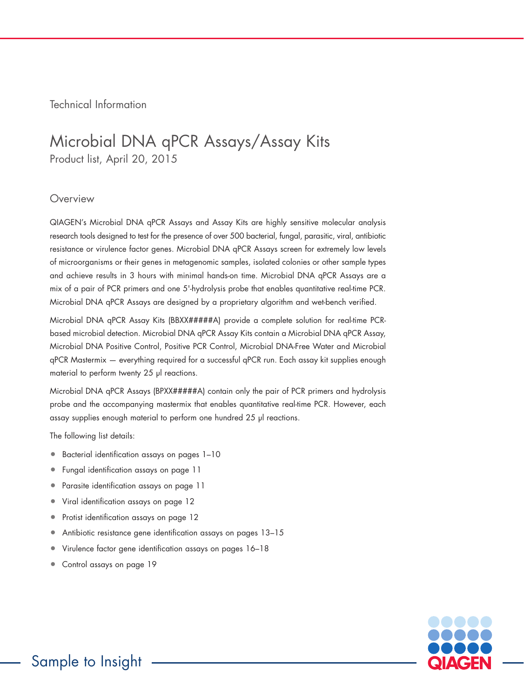Technical Information

## Microbial DNA qPCR Assays/Assay Kits Product list, April 20, 2015

#### **Overview**

QIAGEN's Microbial DNA qPCR Assays and Assay Kits are highly sensitive molecular analysis research tools designed to test for the presence of over 500 bacterial, fungal, parasitic, viral, antibiotic resistance or virulence factor genes. Microbial DNA qPCR Assays screen for extremely low levels of microorganisms or their genes in metagenomic samples, isolated colonies or other sample types and achieve results in 3 hours with minimal hands-on time. Microbial DNA qPCR Assays are a mix of a pair of PCR primers and one 5'-hydrolysis probe that enables quantitative real-time PCR. Microbial DNA qPCR Assays are designed by a proprietary algorithm and wet-bench verified.

Microbial DNA qPCR Assay Kits (BBXX#####A) provide a complete solution for real-time PCRbased microbial detection. Microbial DNA qPCR Assay Kits contain a Microbial DNA qPCR Assay, Microbial DNA Positive Control, Positive PCR Control, Microbial DNA-Free Water and Microbial qPCR Mastermix — everything required for a successful qPCR run. Each assay kit supplies enough material to perform twenty 25 µl reactions.

Microbial DNA qPCR Assays (BPXX#####A) contain only the pair of PCR primers and hydrolysis probe and the accompanying mastermix that enables quantitative real-time PCR. However, each assay supplies enough material to perform one hundred 25 µl reactions.

The following list details:

- Bacterial identification assays on pages 1–10
- Fungal identification assays on page 11
- Parasite identification assays on page 11
- Viral identification assays on page 12
- Protist identification assays on page 12
- Antibiotic resistance gene identification assays on pages 13–15
- Virulence factor gene identification assays on pages 16–18
- Control assays on page 19

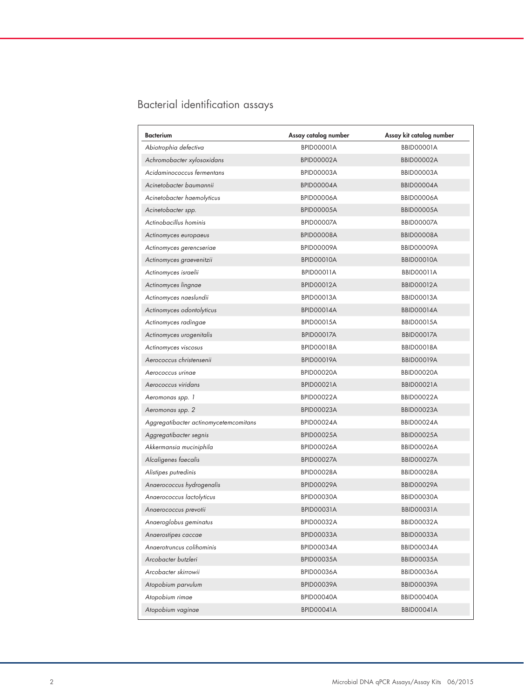## Bacterial identification assays

| <b>BBID00001A</b><br>Abiotrophia defectiva<br>BPID00001A<br>Achromobacter xylosoxidans<br><b>BPID00002A</b><br><b>BBID00002A</b><br>Acidaminococcus fermentans<br>BBID00003A<br>BPID00003A<br>Acinetobacter baumannii<br>BPID00004A<br>BBID00004A<br>Acinetobacter haemolyticus<br>BPID00006A<br>BBID00006A<br>Acinetobacter spp.<br>BPID00005A<br>BBID00005A<br>Actinobacillus hominis<br>BBID00007A<br>BPID00007A<br>BBID00008A<br>Actinomyces europaeus<br>BPID00008A<br>BPID00009A<br><b>BBID00009A</b><br>Actinomyces gerencseriae<br>BPID00010A<br><b>BBID00010A</b><br>Actinomyces graevenitzii<br>Actinomyces israelii<br>BPID00011A<br>BBID00011A<br>Actinomyces lingnae<br><b>BPID00012A</b><br><b>BBID00012A</b><br>Actinomyces naeslundii<br><b>BPID00013A</b><br><b>BBID00013A</b><br>Actinomyces odontolyticus<br><b>BPID00014A</b><br><b>BBID00014A</b><br><b>BPID00015A</b><br><b>BBID00015A</b><br>Actinomyces radingae<br><b>BPID00017A</b><br><b>BBID00017A</b><br>Actinomyces urogenitalis<br>Actinomyces viscosus<br><b>BPID00018A</b><br>BBID00018A<br>Aerococcus christensenii<br><b>BPID00019A</b><br><b>BBID00019A</b><br><b>BBID00020A</b><br>Aerococcus urinae<br>BPID00020A<br>Aerococcus viridans<br><b>BPID00021A</b><br><b>BBID00021A</b><br><b>BPID00022A</b><br><b>BBID00022A</b><br>Aeromonas spp. 1<br>BBID00023A<br>Aeromonas spp. 2<br>BPID00023A<br>Aggregatibacter actinomycetemcomitans<br>BPID00024A<br>BBID00024A<br><b>BPID00025A</b><br><b>BBID00025A</b><br>Aggregatibacter segnis<br>Akkermansia muciniphila<br>BPID00026A<br><b>BBID00026A</b><br>Alcaligenes faecalis<br>BPID00027A<br>BBID00027A<br>BPID00028A<br>BBID00028A<br>Alistipes putredinis<br>Anaerococcus hydrogenalis<br><b>BBID00029A</b><br>BPID00029A<br>Anaerococcus lactolyticus<br>BPID00030A<br>BBID00030A<br>Anaerococcus prevotii<br><b>BPID00031A</b><br>BBID00031A<br>Anaeroglobus geminatus<br><b>BPID00032A</b><br><b>BBID00032A</b><br>Anaerostipes caccae<br><b>BBID00033A</b><br>BPID00033A<br>Anaerotruncus colihominis<br>BPID00034A<br>BBID00034A<br>Arcobacter butzleri<br><b>BPID00035A</b><br>BBID00035A<br>Arcobacter skirrowii<br>BPID00036A<br>BBID00036A<br>Atopobium parvulum<br>BPID00039A<br><b>BBID00039A</b><br>Atopobium rimae<br>BPID00040A<br>BBID00040A | Bacterium         | Assay catalog number | Assay kit catalog number |
|---------------------------------------------------------------------------------------------------------------------------------------------------------------------------------------------------------------------------------------------------------------------------------------------------------------------------------------------------------------------------------------------------------------------------------------------------------------------------------------------------------------------------------------------------------------------------------------------------------------------------------------------------------------------------------------------------------------------------------------------------------------------------------------------------------------------------------------------------------------------------------------------------------------------------------------------------------------------------------------------------------------------------------------------------------------------------------------------------------------------------------------------------------------------------------------------------------------------------------------------------------------------------------------------------------------------------------------------------------------------------------------------------------------------------------------------------------------------------------------------------------------------------------------------------------------------------------------------------------------------------------------------------------------------------------------------------------------------------------------------------------------------------------------------------------------------------------------------------------------------------------------------------------------------------------------------------------------------------------------------------------------------------------------------------------------------------------------------------------------------------------------------------------------------------------------------------------------------------------------------------------------------------------------------------------|-------------------|----------------------|--------------------------|
|                                                                                                                                                                                                                                                                                                                                                                                                                                                                                                                                                                                                                                                                                                                                                                                                                                                                                                                                                                                                                                                                                                                                                                                                                                                                                                                                                                                                                                                                                                                                                                                                                                                                                                                                                                                                                                                                                                                                                                                                                                                                                                                                                                                                                                                                                                         |                   |                      |                          |
|                                                                                                                                                                                                                                                                                                                                                                                                                                                                                                                                                                                                                                                                                                                                                                                                                                                                                                                                                                                                                                                                                                                                                                                                                                                                                                                                                                                                                                                                                                                                                                                                                                                                                                                                                                                                                                                                                                                                                                                                                                                                                                                                                                                                                                                                                                         |                   |                      |                          |
|                                                                                                                                                                                                                                                                                                                                                                                                                                                                                                                                                                                                                                                                                                                                                                                                                                                                                                                                                                                                                                                                                                                                                                                                                                                                                                                                                                                                                                                                                                                                                                                                                                                                                                                                                                                                                                                                                                                                                                                                                                                                                                                                                                                                                                                                                                         |                   |                      |                          |
|                                                                                                                                                                                                                                                                                                                                                                                                                                                                                                                                                                                                                                                                                                                                                                                                                                                                                                                                                                                                                                                                                                                                                                                                                                                                                                                                                                                                                                                                                                                                                                                                                                                                                                                                                                                                                                                                                                                                                                                                                                                                                                                                                                                                                                                                                                         |                   |                      |                          |
|                                                                                                                                                                                                                                                                                                                                                                                                                                                                                                                                                                                                                                                                                                                                                                                                                                                                                                                                                                                                                                                                                                                                                                                                                                                                                                                                                                                                                                                                                                                                                                                                                                                                                                                                                                                                                                                                                                                                                                                                                                                                                                                                                                                                                                                                                                         |                   |                      |                          |
|                                                                                                                                                                                                                                                                                                                                                                                                                                                                                                                                                                                                                                                                                                                                                                                                                                                                                                                                                                                                                                                                                                                                                                                                                                                                                                                                                                                                                                                                                                                                                                                                                                                                                                                                                                                                                                                                                                                                                                                                                                                                                                                                                                                                                                                                                                         |                   |                      |                          |
|                                                                                                                                                                                                                                                                                                                                                                                                                                                                                                                                                                                                                                                                                                                                                                                                                                                                                                                                                                                                                                                                                                                                                                                                                                                                                                                                                                                                                                                                                                                                                                                                                                                                                                                                                                                                                                                                                                                                                                                                                                                                                                                                                                                                                                                                                                         |                   |                      |                          |
|                                                                                                                                                                                                                                                                                                                                                                                                                                                                                                                                                                                                                                                                                                                                                                                                                                                                                                                                                                                                                                                                                                                                                                                                                                                                                                                                                                                                                                                                                                                                                                                                                                                                                                                                                                                                                                                                                                                                                                                                                                                                                                                                                                                                                                                                                                         |                   |                      |                          |
|                                                                                                                                                                                                                                                                                                                                                                                                                                                                                                                                                                                                                                                                                                                                                                                                                                                                                                                                                                                                                                                                                                                                                                                                                                                                                                                                                                                                                                                                                                                                                                                                                                                                                                                                                                                                                                                                                                                                                                                                                                                                                                                                                                                                                                                                                                         |                   |                      |                          |
|                                                                                                                                                                                                                                                                                                                                                                                                                                                                                                                                                                                                                                                                                                                                                                                                                                                                                                                                                                                                                                                                                                                                                                                                                                                                                                                                                                                                                                                                                                                                                                                                                                                                                                                                                                                                                                                                                                                                                                                                                                                                                                                                                                                                                                                                                                         |                   |                      |                          |
|                                                                                                                                                                                                                                                                                                                                                                                                                                                                                                                                                                                                                                                                                                                                                                                                                                                                                                                                                                                                                                                                                                                                                                                                                                                                                                                                                                                                                                                                                                                                                                                                                                                                                                                                                                                                                                                                                                                                                                                                                                                                                                                                                                                                                                                                                                         |                   |                      |                          |
|                                                                                                                                                                                                                                                                                                                                                                                                                                                                                                                                                                                                                                                                                                                                                                                                                                                                                                                                                                                                                                                                                                                                                                                                                                                                                                                                                                                                                                                                                                                                                                                                                                                                                                                                                                                                                                                                                                                                                                                                                                                                                                                                                                                                                                                                                                         |                   |                      |                          |
|                                                                                                                                                                                                                                                                                                                                                                                                                                                                                                                                                                                                                                                                                                                                                                                                                                                                                                                                                                                                                                                                                                                                                                                                                                                                                                                                                                                                                                                                                                                                                                                                                                                                                                                                                                                                                                                                                                                                                                                                                                                                                                                                                                                                                                                                                                         |                   |                      |                          |
|                                                                                                                                                                                                                                                                                                                                                                                                                                                                                                                                                                                                                                                                                                                                                                                                                                                                                                                                                                                                                                                                                                                                                                                                                                                                                                                                                                                                                                                                                                                                                                                                                                                                                                                                                                                                                                                                                                                                                                                                                                                                                                                                                                                                                                                                                                         |                   |                      |                          |
|                                                                                                                                                                                                                                                                                                                                                                                                                                                                                                                                                                                                                                                                                                                                                                                                                                                                                                                                                                                                                                                                                                                                                                                                                                                                                                                                                                                                                                                                                                                                                                                                                                                                                                                                                                                                                                                                                                                                                                                                                                                                                                                                                                                                                                                                                                         |                   |                      |                          |
|                                                                                                                                                                                                                                                                                                                                                                                                                                                                                                                                                                                                                                                                                                                                                                                                                                                                                                                                                                                                                                                                                                                                                                                                                                                                                                                                                                                                                                                                                                                                                                                                                                                                                                                                                                                                                                                                                                                                                                                                                                                                                                                                                                                                                                                                                                         |                   |                      |                          |
|                                                                                                                                                                                                                                                                                                                                                                                                                                                                                                                                                                                                                                                                                                                                                                                                                                                                                                                                                                                                                                                                                                                                                                                                                                                                                                                                                                                                                                                                                                                                                                                                                                                                                                                                                                                                                                                                                                                                                                                                                                                                                                                                                                                                                                                                                                         |                   |                      |                          |
|                                                                                                                                                                                                                                                                                                                                                                                                                                                                                                                                                                                                                                                                                                                                                                                                                                                                                                                                                                                                                                                                                                                                                                                                                                                                                                                                                                                                                                                                                                                                                                                                                                                                                                                                                                                                                                                                                                                                                                                                                                                                                                                                                                                                                                                                                                         |                   |                      |                          |
|                                                                                                                                                                                                                                                                                                                                                                                                                                                                                                                                                                                                                                                                                                                                                                                                                                                                                                                                                                                                                                                                                                                                                                                                                                                                                                                                                                                                                                                                                                                                                                                                                                                                                                                                                                                                                                                                                                                                                                                                                                                                                                                                                                                                                                                                                                         |                   |                      |                          |
|                                                                                                                                                                                                                                                                                                                                                                                                                                                                                                                                                                                                                                                                                                                                                                                                                                                                                                                                                                                                                                                                                                                                                                                                                                                                                                                                                                                                                                                                                                                                                                                                                                                                                                                                                                                                                                                                                                                                                                                                                                                                                                                                                                                                                                                                                                         |                   |                      |                          |
|                                                                                                                                                                                                                                                                                                                                                                                                                                                                                                                                                                                                                                                                                                                                                                                                                                                                                                                                                                                                                                                                                                                                                                                                                                                                                                                                                                                                                                                                                                                                                                                                                                                                                                                                                                                                                                                                                                                                                                                                                                                                                                                                                                                                                                                                                                         |                   |                      |                          |
|                                                                                                                                                                                                                                                                                                                                                                                                                                                                                                                                                                                                                                                                                                                                                                                                                                                                                                                                                                                                                                                                                                                                                                                                                                                                                                                                                                                                                                                                                                                                                                                                                                                                                                                                                                                                                                                                                                                                                                                                                                                                                                                                                                                                                                                                                                         |                   |                      |                          |
|                                                                                                                                                                                                                                                                                                                                                                                                                                                                                                                                                                                                                                                                                                                                                                                                                                                                                                                                                                                                                                                                                                                                                                                                                                                                                                                                                                                                                                                                                                                                                                                                                                                                                                                                                                                                                                                                                                                                                                                                                                                                                                                                                                                                                                                                                                         |                   |                      |                          |
|                                                                                                                                                                                                                                                                                                                                                                                                                                                                                                                                                                                                                                                                                                                                                                                                                                                                                                                                                                                                                                                                                                                                                                                                                                                                                                                                                                                                                                                                                                                                                                                                                                                                                                                                                                                                                                                                                                                                                                                                                                                                                                                                                                                                                                                                                                         |                   |                      |                          |
|                                                                                                                                                                                                                                                                                                                                                                                                                                                                                                                                                                                                                                                                                                                                                                                                                                                                                                                                                                                                                                                                                                                                                                                                                                                                                                                                                                                                                                                                                                                                                                                                                                                                                                                                                                                                                                                                                                                                                                                                                                                                                                                                                                                                                                                                                                         |                   |                      |                          |
|                                                                                                                                                                                                                                                                                                                                                                                                                                                                                                                                                                                                                                                                                                                                                                                                                                                                                                                                                                                                                                                                                                                                                                                                                                                                                                                                                                                                                                                                                                                                                                                                                                                                                                                                                                                                                                                                                                                                                                                                                                                                                                                                                                                                                                                                                                         |                   |                      |                          |
|                                                                                                                                                                                                                                                                                                                                                                                                                                                                                                                                                                                                                                                                                                                                                                                                                                                                                                                                                                                                                                                                                                                                                                                                                                                                                                                                                                                                                                                                                                                                                                                                                                                                                                                                                                                                                                                                                                                                                                                                                                                                                                                                                                                                                                                                                                         |                   |                      |                          |
|                                                                                                                                                                                                                                                                                                                                                                                                                                                                                                                                                                                                                                                                                                                                                                                                                                                                                                                                                                                                                                                                                                                                                                                                                                                                                                                                                                                                                                                                                                                                                                                                                                                                                                                                                                                                                                                                                                                                                                                                                                                                                                                                                                                                                                                                                                         |                   |                      |                          |
|                                                                                                                                                                                                                                                                                                                                                                                                                                                                                                                                                                                                                                                                                                                                                                                                                                                                                                                                                                                                                                                                                                                                                                                                                                                                                                                                                                                                                                                                                                                                                                                                                                                                                                                                                                                                                                                                                                                                                                                                                                                                                                                                                                                                                                                                                                         |                   |                      |                          |
|                                                                                                                                                                                                                                                                                                                                                                                                                                                                                                                                                                                                                                                                                                                                                                                                                                                                                                                                                                                                                                                                                                                                                                                                                                                                                                                                                                                                                                                                                                                                                                                                                                                                                                                                                                                                                                                                                                                                                                                                                                                                                                                                                                                                                                                                                                         |                   |                      |                          |
|                                                                                                                                                                                                                                                                                                                                                                                                                                                                                                                                                                                                                                                                                                                                                                                                                                                                                                                                                                                                                                                                                                                                                                                                                                                                                                                                                                                                                                                                                                                                                                                                                                                                                                                                                                                                                                                                                                                                                                                                                                                                                                                                                                                                                                                                                                         |                   |                      |                          |
|                                                                                                                                                                                                                                                                                                                                                                                                                                                                                                                                                                                                                                                                                                                                                                                                                                                                                                                                                                                                                                                                                                                                                                                                                                                                                                                                                                                                                                                                                                                                                                                                                                                                                                                                                                                                                                                                                                                                                                                                                                                                                                                                                                                                                                                                                                         |                   |                      |                          |
|                                                                                                                                                                                                                                                                                                                                                                                                                                                                                                                                                                                                                                                                                                                                                                                                                                                                                                                                                                                                                                                                                                                                                                                                                                                                                                                                                                                                                                                                                                                                                                                                                                                                                                                                                                                                                                                                                                                                                                                                                                                                                                                                                                                                                                                                                                         |                   |                      |                          |
|                                                                                                                                                                                                                                                                                                                                                                                                                                                                                                                                                                                                                                                                                                                                                                                                                                                                                                                                                                                                                                                                                                                                                                                                                                                                                                                                                                                                                                                                                                                                                                                                                                                                                                                                                                                                                                                                                                                                                                                                                                                                                                                                                                                                                                                                                                         |                   |                      |                          |
|                                                                                                                                                                                                                                                                                                                                                                                                                                                                                                                                                                                                                                                                                                                                                                                                                                                                                                                                                                                                                                                                                                                                                                                                                                                                                                                                                                                                                                                                                                                                                                                                                                                                                                                                                                                                                                                                                                                                                                                                                                                                                                                                                                                                                                                                                                         |                   |                      |                          |
|                                                                                                                                                                                                                                                                                                                                                                                                                                                                                                                                                                                                                                                                                                                                                                                                                                                                                                                                                                                                                                                                                                                                                                                                                                                                                                                                                                                                                                                                                                                                                                                                                                                                                                                                                                                                                                                                                                                                                                                                                                                                                                                                                                                                                                                                                                         |                   |                      |                          |
|                                                                                                                                                                                                                                                                                                                                                                                                                                                                                                                                                                                                                                                                                                                                                                                                                                                                                                                                                                                                                                                                                                                                                                                                                                                                                                                                                                                                                                                                                                                                                                                                                                                                                                                                                                                                                                                                                                                                                                                                                                                                                                                                                                                                                                                                                                         |                   |                      |                          |
|                                                                                                                                                                                                                                                                                                                                                                                                                                                                                                                                                                                                                                                                                                                                                                                                                                                                                                                                                                                                                                                                                                                                                                                                                                                                                                                                                                                                                                                                                                                                                                                                                                                                                                                                                                                                                                                                                                                                                                                                                                                                                                                                                                                                                                                                                                         | Atopobium vaginae | BPID00041A           | BBID00041A               |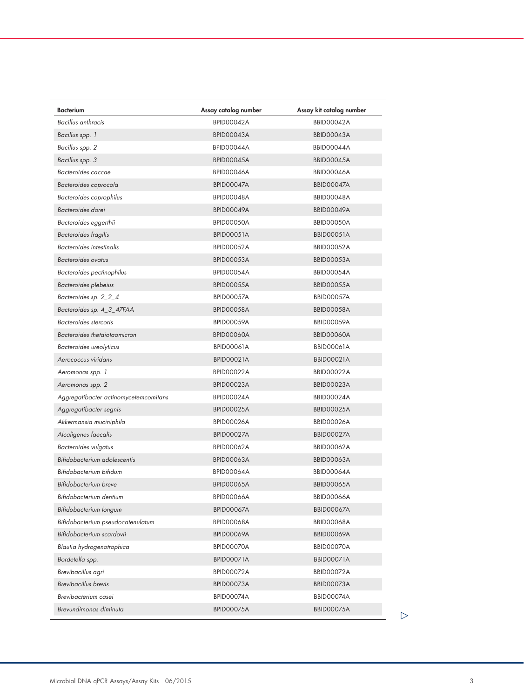| <b>Bacterium</b>                      | Assay catalog number | Assay kit catalog number |
|---------------------------------------|----------------------|--------------------------|
| Bacillus anthracis                    | BPID00042A           | BBID00042A               |
| Bacillus spp. 1                       | BPID00043A           | BBID00043A               |
| Bacillus spp. 2                       | BPID00044A           | BBID00044A               |
| Bacillus spp. 3                       | BPID00045A           | <b>BBID00045A</b>        |
| Bacteroides caccae                    | BPID00046A           | <b>BBID00046A</b>        |
| Bacteroides coprocola                 | BPID00047A           | BBID00047A               |
| Bacteroides coprophilus               | BPID00048A           | BBID00048A               |
| Bacteroides dorei                     | <b>BPID00049A</b>    | <b>BBID00049A</b>        |
| Bacteroides eggerthii                 | BPID00050A           | BBID00050A               |
| Bacteroides fragilis                  | BPID00051A           | BBID00051A               |
| Bacteroides intestinalis              | BPID00052A           | <b>BBID00052A</b>        |
| <b>Bacteroides</b> ovatus             | BPID00053A           | BBID00053A               |
| Bacteroides pectinophilus             | BPID00054A           | BBID00054A               |
| Bacteroides plebeius                  | BPID00055A           | <b>BBID00055A</b>        |
| Bacteroides sp. 2_2_4                 | BPID00057A           | <b>BBID00057A</b>        |
| Bacteroides sp. 4_3_47FAA             | BPID00058A           | BBID00058A               |
| Bacteroides stercoris                 | <b>BPID00059A</b>    | <b>BBID00059A</b>        |
| Bacteroides thetaiotaomicron          | BPID00060A           | BBID00060A               |
| Bacteroides ureolyticus               | BPID00061A           | <b>BBID00061A</b>        |
| Aerococcus viridans                   | <b>BPID00021A</b>    | <b>BBID00021A</b>        |
| Aeromonas spp. 1                      | BPID00022A           | BBID00022A               |
| Aeromonas spp. 2                      | <b>BPID00023A</b>    | <b>BBID00023A</b>        |
| Aggregatibacter actinomycetemcomitans | BPID00024A           | <b>BBID00024A</b>        |
| Aggregatibacter segnis                | <b>BPID00025A</b>    | <b>BBID00025A</b>        |
| Akkermansia muciniphila               | <b>BPID00026A</b>    | <b>BBID00026A</b>        |
| Alcaligenes faecalis                  | <b>BPID00027A</b>    | <b>BBID00027A</b>        |
| Bacteroides vulgatus                  | <b>BPID00062A</b>    | <b>BBID00062A</b>        |
| Bifidobacterium adolescentis          | BPID00063A           | <b>BBID00063A</b>        |
| Bifidobacterium bifidum               | BPID00064A           | <b>BBID00064A</b>        |
| Bifidobacterium breve                 | <b>BPID00065A</b>    | <b>BBID00065A</b>        |
| Bifidobacterium dentium               | <b>BPID00066A</b>    | <b>BBID00066A</b>        |
| Bifidobacterium longum                | BPID00067A           | <b>BBID00067A</b>        |
| Bifidobacterium pseudocatenulatum     | BPID00068A           | <b>BBID00068A</b>        |
| Bifidobacterium scardovii             | <b>BPID00069A</b>    | <b>BBID00069A</b>        |
| Blautia hydrogenotrophica             | BPID00070A           | BBID00070A               |
| Bordetella spp.                       | BPID00071A           | BBID00071A               |
| Brevibacillus agri                    | <b>BPID00072A</b>    | <b>BBID00072A</b>        |
| <b>Brevibacillus</b> brevis           | BPID00073A           | BBID00073A               |
| Brevibacterium casei                  | BPID00074A           | BBID00074A               |
| Brevundimonas diminuta                | BPID00075A           | <b>BBID00075A</b>        |
|                                       |                      |                          |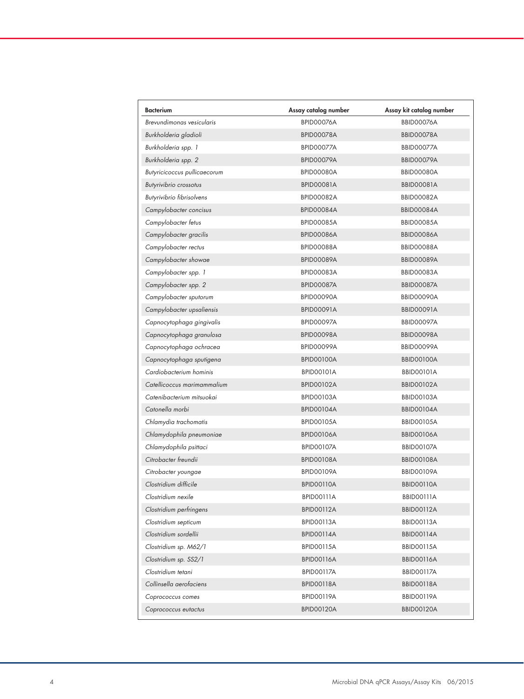| Bacterium                    | Assay catalog number | Assay kit catalog number |
|------------------------------|----------------------|--------------------------|
| Brevundimonas vesicularis    | BPID00076A           | BBID00076A               |
| Burkholderia gladioli        | BPID00078A           | BBID00078A               |
| Burkholderia spp. 1          | BPID00077A           | <b>BBID00077A</b>        |
| Burkholderia spp. 2          | <b>BPID00079A</b>    | BBID00079A               |
| Butyricicoccus pullicaecorum | BPID00080A           | BBID00080A               |
| Butyrivibrio crossotus       | <b>BPID00081A</b>    | BBID00081A               |
| Butyrivibrio fibrisolvens    | BPID00082A           | <b>BBID00082A</b>        |
| Campylobacter concisus       | BPID00084A           | <b>BBID00084A</b>        |
| Campylobacter fetus          | <b>BPID00085A</b>    | BBID00085A               |
| Campylobacter gracilis       | BPID00086A           | <b>BBID00086A</b>        |
| Campylobacter rectus         | BPID00088A           | BBID00088A               |
| Campylobacter showae         | <b>BPID00089A</b>    | <b>BBID00089A</b>        |
| Campylobacter spp. 1         | BPID00083A           | BBID00083A               |
| Campylobacter spp. 2         | BPID00087A           | BBID00087A               |
| Campylobacter sputorum       | BPID00090A           | <b>BBID00090A</b>        |
| Campylobacter upsaliensis    | <b>BPID00091A</b>    | <b>BBID00091A</b>        |
| Capnocytophaga gingivalis    | BPID00097A           | <b>BBID00097A</b>        |
| Capnocytophaga granulosa     | BPID00098A           | <b>BBID00098A</b>        |
| Capnocytophaga ochracea      | <b>BPID00099A</b>    | <b>BBID00099A</b>        |
| Capnocytophaga sputigena     | <b>BPIDOO100A</b>    | <b>BBID00100A</b>        |
| Cardiobacterium hominis      | BPID00101A           | BBID00101A               |
| Catellicoccus marimammalium  | <b>BPIDO0102A</b>    | <b>BBID00102A</b>        |
| Catenibacterium mitsuokai    | <b>BPIDO0103A</b>    | <b>BBID00103A</b>        |
| Catonella morbi              | <b>BPID00104A</b>    | <b>BBID00104A</b>        |
| Chlamydia trachomatis        | <b>BPIDO0105A</b>    | <b>BBID00105A</b>        |
| Chlamydophila pneumoniae     | <b>BPID00106A</b>    | <b>BBID00106A</b>        |
| Chlamydophila psittaci       | <b>BPID00107A</b>    | <b>BBID00107A</b>        |
| Citrobacter freundii         | <b>BPID00108A</b>    | BBID00108A               |
| Citrobacter youngae          | <b>BPID00109A</b>    | <b>BBID00109A</b>        |
| Clostridium difficile        | BPID00110A           | <b>BBID00110A</b>        |
| Clostridium nexile           | BPIDOO111A           | BBID00111A               |
| Clostridium perfringens      | <b>BPID00112A</b>    | <b>BBID00112A</b>        |
| Clostridium septicum         | BPID00113A           | BBID00113A               |
| Clostridium sordellii        | BPID00114A           | <b>BBID00114A</b>        |
| Clostridium sp. M62/1        | <b>BPIDO0115A</b>    | <b>BBID00115A</b>        |
| Clostridium sp. SS2/1        | <b>BPID00116A</b>    | <b>BBID00116A</b>        |
| Clostridium tetani           | BPIDO0117A           | <b>BBID00117A</b>        |
| Collinsella aerofaciens      | BPID00118A           | BBID00118A               |
| Coprococcus comes            | <b>BPID00119A</b>    | <b>BBID00119A</b>        |
| Coprococcus eutactus         | BPID00120A           | <b>BBID00120A</b>        |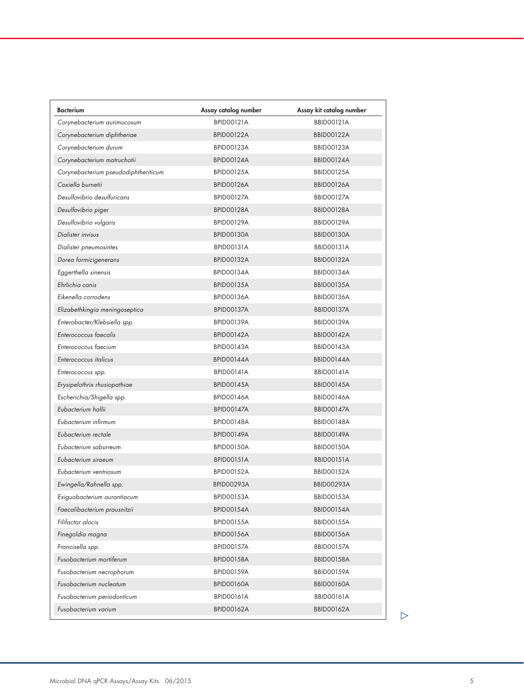| <b>Bacterium</b>                     | Assay catalog number | Assay kit catalog number |
|--------------------------------------|----------------------|--------------------------|
| Corynebacterium aurimucosum          | <b>BPID00121A</b>    | <b>BBID00121A</b>        |
| Corynebacterium diphtheriae          | <b>BPID00122A</b>    | <b>BBID00122A</b>        |
| Corynebacterium durum                | <b>BPID00123A</b>    | <b>BBID00123A</b>        |
| Corynebacterium matruchotii          | <b>BPID00124A</b>    | <b>BBID00124A</b>        |
| Corynebacterium pseudodiphtheriticum | <b>BPID00125A</b>    | <b>BBID00125A</b>        |
| Coxiella burnetii                    | <b>BPID00126A</b>    | <b>BBID00126A</b>        |
| Desulfovibrio desulfuricans          | <b>BPID00127A</b>    | <b>BBID00127A</b>        |
| Desulfovibrio piger                  | <b>BPID00128A</b>    | <b>BBID00128A</b>        |
| Desulfovibrio vulgaris               | <b>BPID00129A</b>    | <b>BBID00129A</b>        |
| Dialister invisus                    | BPID00130A           | <b>BBID00130A</b>        |
| Dialister pneumosintes               | <b>BPID00131A</b>    | BBID00131A               |
| Dorea formicigenerans                | <b>BPID00132A</b>    | <b>BBID00132A</b>        |
| Eggerthella sinensis                 | <b>BPID00134A</b>    | BBID00134A               |
| Ehrlichia canis                      | <b>BPIDO0135A</b>    | <b>BBID00135A</b>        |
| Eikenella corrodens                  | <b>BPID00136A</b>    | <b>BBID00136A</b>        |
| Elizabethkingia meningoseptica       | BPID00137A           | <b>BBID00137A</b>        |
| Enterobacter/Klebsiella spp.         | <b>BPID00139A</b>    | <b>BBID00139A</b>        |
| Enterococcus faecalis                | <b>BPID00142A</b>    | <b>BBID00142A</b>        |
| Enterococcus faecium                 | <b>BPID00143A</b>    | <b>BBID00143A</b>        |
| Enterococcus italicus                | <b>BPID00144A</b>    | <b>BBID00144A</b>        |
| Enterococcus spp.                    | <b>BPID00141A</b>    | <b>BBID00141A</b>        |
| Erysipelothrix rhusiopathiae         | <b>BPID00145A</b>    | <b>BBID00145A</b>        |
| Escherichia/Shigella spp.            | <b>BPID00146A</b>    | <b>BBID00146A</b>        |
| Eubacterium hallii                   | <b>BPID00147A</b>    | <b>BBID00147A</b>        |
| Eubacterium infirmum                 | <b>BPID00148A</b>    | <b>BBID00148A</b>        |
| Eubacterium rectale                  | <b>BPID00149A</b>    | <b>BBID00149A</b>        |
| Eubacterium saburreum                | <b>BPID00150A</b>    | <b>BBID00150A</b>        |
| Eubacterium siraeum                  | <b>BPID00151A</b>    | <b>BBID00151A</b>        |
| Eubacterium ventriosum               | <b>BPID00152A</b>    | <b>BBID00152A</b>        |
| Ewingella/Rahnella spp.              | <b>BPID00293A</b>    | <b>BBID00293A</b>        |
| Exiguobacterium aurantiacum          | BPID00153A           | BBID00153A               |
| Faecalibacterium prausnitzii         | <b>BPID00154A</b>    | <b>BBID00154A</b>        |
| Filifactor alocis                    | <b>BPID00155A</b>    | <b>BBID00155A</b>        |
| Finegoldia magna                     | <b>BPID00156A</b>    | <b>BBID00156A</b>        |
| Francisella spp.                     | <b>BPID00157A</b>    | <b>BBID00157A</b>        |
| Fusobacterium mortiferum             | <b>BPID00158A</b>    | <b>BBID00158A</b>        |
| Fusobacterium necrophorum            | <b>BPID00159A</b>    | <b>BBID00159A</b>        |
| Fusobacterium nucleatum              | <b>BPID00160A</b>    | <b>BBID00160A</b>        |
| Fusobacterium periodonticum          | BPID00161A           | BBID00161A               |
| Fusobacterium varium                 | <b>BPID00162A</b>    | <b>BBID00162A</b>        |
|                                      |                      |                          |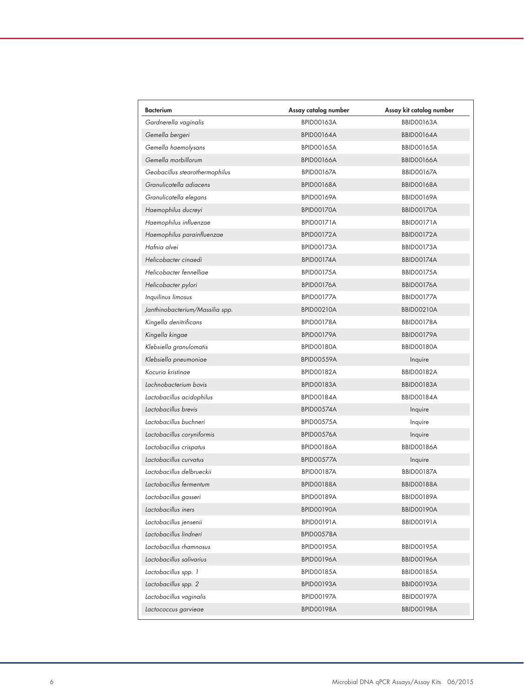| <b>Bacterium</b>                | Assay catalog number | Assay kit catalog number |
|---------------------------------|----------------------|--------------------------|
| Gardnerella vaginalis           | <b>BPID00163A</b>    | <b>BBID00163A</b>        |
| Gemella bergeri                 | <b>BPID00164A</b>    | <b>BBID00164A</b>        |
| Gemella haemolysans             | <b>BPID00165A</b>    | <b>BBID00165A</b>        |
| Gemella morbillorum             | <b>BPID00166A</b>    | <b>BBID00166A</b>        |
| Geobacillus stearothermophilus  | <b>BPID00167A</b>    | <b>BBID00167A</b>        |
| Granulicatella adiacens         | <b>BPID00168A</b>    | <b>BBID00168A</b>        |
| Granulicatella elegans          | <b>BPID00169A</b>    | <b>BBID00169A</b>        |
| Haemophilus ducreyi             | <b>BPID00170A</b>    | <b>BBID00170A</b>        |
| Haemophilus influenzae          | <b>BPID00171A</b>    | <b>BBID00171A</b>        |
| Haemophilus parainfluenzae      | <b>BPID00172A</b>    | <b>BBID00172A</b>        |
| Hafnia alvei                    | <b>BPID00173A</b>    | <b>BBID00173A</b>        |
| Helicobacter cinaedi            | BPID00174A           | BBID00174A               |
| Helicobacter fennelliae         | <b>BPID00175A</b>    | <b>BBID00175A</b>        |
| Helicobacter pylori             | <b>BPID00176A</b>    | <b>BBID00176A</b>        |
| Inquilinus limosus              | <b>BPID00177A</b>    | <b>BBID00177A</b>        |
| Janthinobacterium/Massilia spp. | <b>BPID00210A</b>    | <b>BBID00210A</b>        |
| Kingella denitrificans          | BPID00178A           | BBID00178A               |
| Kingella kingae                 | <b>BPID00179A</b>    | <b>BBID00179A</b>        |
| Klebsiella granulomatis         | <b>BPID00180A</b>    | <b>BBID00180A</b>        |
| Klebsiella pneumoniae           | <b>BPID00559A</b>    | Inquire                  |
| Kocuria kristinae               | <b>BPID00182A</b>    | <b>BBID00182A</b>        |
| Lachnobacterium bovis           | <b>BPID00183A</b>    | <b>BBID00183A</b>        |
| Lactobacillus acidophilus       | <b>BPID00184A</b>    | <b>BBID00184A</b>        |
| Lactobacillus brevis            | <b>BPID00574A</b>    | Inquire                  |
| Lactobacillus buchneri          | <b>BPID00575A</b>    | Inquire                  |
| Lactobacillus coryniformis      | <b>BPID00576A</b>    | Inquire                  |
| Lactobacillus crispatus         | <b>BPID00186A</b>    | <b>BBID00186A</b>        |
| Lactobacillus curvatus          | <b>BPID00577A</b>    | Inquire                  |
| Lactobacillus delbrueckii       | <b>BPIDOO187A</b>    | <b>BBID00187A</b>        |
| Lactobacillus fermentum         | <b>BPID00188A</b>    | BBID00188A               |
| Lactobacillus gasseri           | <b>BPID00189A</b>    | <b>BBID00189A</b>        |
| Lactobacillus iners             | <b>BPID00190A</b>    | <b>BBID00190A</b>        |
| Lactobacillus jensenii          | <b>BPID00191A</b>    | <b>BBID00191A</b>        |
| Lactobacillus lindneri          | BPID00578A           |                          |
| Lactobacillus rhamnosus         | <b>BPID00195A</b>    | <b>BBID00195A</b>        |
| Lactobacillus salivarius        | <b>BPID00196A</b>    | <b>BBID00196A</b>        |
| Lactobacillus spp. 1            | <b>BPID00185A</b>    | <b>BBID00185A</b>        |
| Lactobacillus spp. 2            | <b>BPID00193A</b>    | <b>BBID00193A</b>        |
| Lactobacillus vaginalis         | <b>BPID00197A</b>    | <b>BBID00197A</b>        |
| Lactococcus garvieae            | <b>BPID00198A</b>    | <b>BBID00198A</b>        |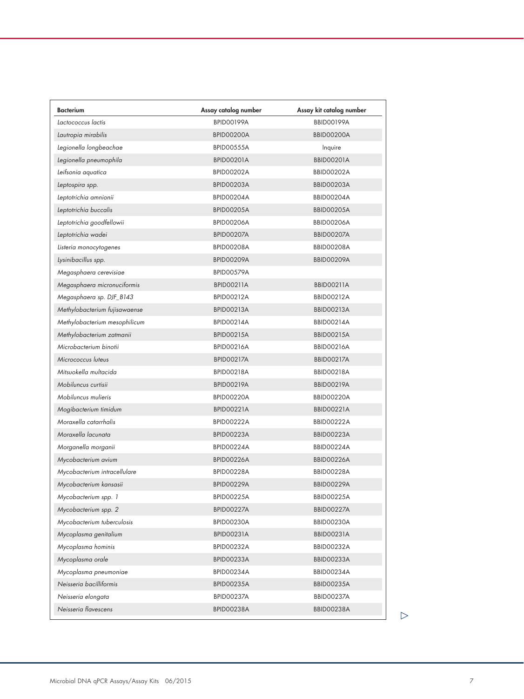| <b>Bacterium</b>              | Assay catalog number | Assay kit catalog number |
|-------------------------------|----------------------|--------------------------|
| Lactococcus lactis            | <b>BPID00199A</b>    | <b>BBID00199A</b>        |
| Lautropia mirabilis           | BPID00200A           | BBID00200A               |
| Legionella longbeachae        | <b>BPIDO0555A</b>    | Inquire                  |
| Legionella pneumophila        | <b>BPID00201A</b>    | <b>BBID00201A</b>        |
| Leifsonia aquatica            | BPID00202A           | <b>BBID00202A</b>        |
| Leptospira spp.               | <b>BPID00203A</b>    | <b>BBID00203A</b>        |
| Leptotrichia amnionii         | BPID00204A           | BBID00204A               |
| Leptotrichia buccalis         | <b>BPID00205A</b>    | <b>BBID00205A</b>        |
| Leptotrichia goodfellowii     | BPID00206A           | <b>BBID00206A</b>        |
| Leptotrichia wadei            | BPID00207A           | BBID00207A               |
| Listeria monocytogenes        | BPID00208A           | <b>BBID00208A</b>        |
| Lysinibacillus spp.           | <b>BPID00209A</b>    | <b>BBID00209A</b>        |
| Megasphaera cerevisiae        | BPID00579A           |                          |
| Megasphaera micronuciformis   | <b>BPID00211A</b>    | <b>BBID00211A</b>        |
| Megasphaera sp. DJF_B143      | <b>BPID00212A</b>    | <b>BBID00212A</b>        |
| Methylobacterium fujisawaense | <b>BPID00213A</b>    | <b>BBID00213A</b>        |
| Methylobacterium mesophilicum | <b>BPID00214A</b>    | <b>BBID00214A</b>        |
| Methylobacterium zatmanii     | <b>BPID00215A</b>    | <b>BBID00215A</b>        |
| Microbacterium binotii        | <b>BPID00216A</b>    | <b>BBID00216A</b>        |
| Micrococcus luteus            | <b>BPID00217A</b>    | <b>BBID00217A</b>        |
| Mitsuokella multacida         | <b>BPID00218A</b>    | <b>BBID00218A</b>        |
| Mobiluncus curtisii           | <b>BPID00219A</b>    | <b>BBID00219A</b>        |
| Mobiluncus mulieris           | <b>BPID00220A</b>    | <b>BBID00220A</b>        |
| Mogibacterium timidum         | <b>BPID00221A</b>    | <b>BBID00221A</b>        |
| Moraxella catarrhalis         | BPID00222A           | <b>BBID00222A</b>        |
| Moraxella lacunata            | BPID00223A           | BBID00223A               |
| Morganella morganii           | BPID00224A           | BBID00224A               |
| Mycobacterium avium           | <b>BPID00226A</b>    | <b>BBID00226A</b>        |
| Mycobacterium intracellulare  | BPID00228A           | BBID00228A               |
| Mycobacterium kansasii        | <b>BPID00229A</b>    | <b>BBID00229A</b>        |
| Mycobacterium spp. 1          | <b>BPID00225A</b>    | <b>BBID00225A</b>        |
| Mycobacterium spp. 2          | <b>BPID00227A</b>    | <b>BBID00227A</b>        |
| Mycobacterium tuberculosis    | BPID00230A           | <b>BBID00230A</b>        |
| Mycoplasma genitalium         | BPID00231A           | BBID00231A               |
| Mycoplasma hominis            | BPID00232A           | <b>BBID00232A</b>        |
| Mycoplasma orale              | BPID00233A           | BBID00233A               |
| Mycoplasma pneumoniae         | BPID00234A           | BBID00234A               |
| Neisseria bacilliformis       | <b>BPID00235A</b>    | <b>BBID00235A</b>        |
| Neisseria elongata            | BPID00237A           | BBID00237A               |
| Neisseria flavescens          | BPID00238A           | BBID00238A               |
|                               |                      |                          |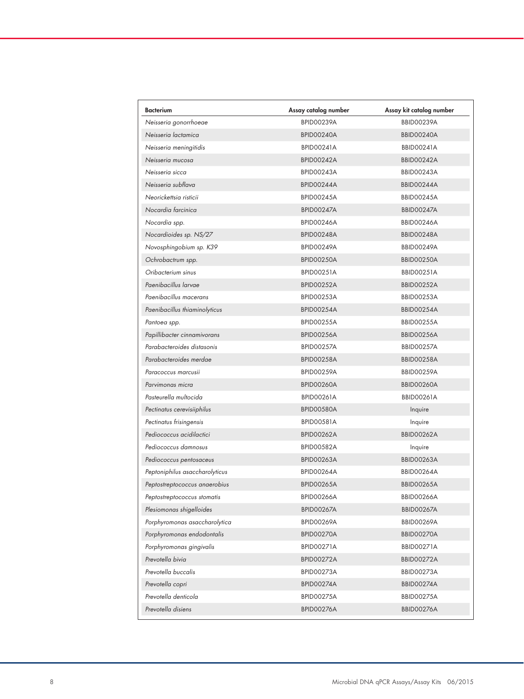| Bacterium                      | Assay catalog number | Assay kit catalog number |
|--------------------------------|----------------------|--------------------------|
| Neisseria gonorrhoeae          | <b>BPID00239A</b>    | <b>BBID00239A</b>        |
| Neisseria lactamica            | BPID00240A           | <b>BBID00240A</b>        |
| Neisseria meningitidis         | <b>BPID00241A</b>    | <b>BBID00241A</b>        |
| Neisseria mucosa               | BPID00242A           | BBID00242A               |
| Neisseria sicca                | <b>BPID00243A</b>    | <b>BBID00243A</b>        |
| Neisseria subflava             | BPID00244A           | BBID00244A               |
| Neorickettsia risticii         | <b>BPID00245A</b>    | <b>BBID00245A</b>        |
| Nocardia farcinica             | BPID00247A           | <b>BBID00247A</b>        |
| Nocardia spp.                  | <b>BPID00246A</b>    | <b>BBID00246A</b>        |
| Nocardioides sp. NS/27         | <b>BPID00248A</b>    | BBID00248A               |
| Novosphingobium sp. K39        | <b>BPID00249A</b>    | <b>BBID00249A</b>        |
| Ochrobactrum spp.              | <b>BPID00250A</b>    | BBID00250A               |
| Oribacterium sinus             | <b>BPID00251A</b>    | <b>BBID00251A</b>        |
| Paenibacillus larvae           | <b>BPID00252A</b>    | <b>BBID00252A</b>        |
| Paenibacillus macerans         | <b>BPID00253A</b>    | <b>BBID00253A</b>        |
| Paenibacillus thiaminolyticus  | BPID00254A           | <b>BBID00254A</b>        |
| Pantoea spp.                   | <b>BPID00255A</b>    | <b>BBID00255A</b>        |
| Papillibacter cinnamivorans    | <b>BPID00256A</b>    | <b>BBID00256A</b>        |
| Parabacteroides distasonis     | <b>BPID00257A</b>    | <b>BBID00257A</b>        |
| Parabacteroides merdae         | <b>BPID00258A</b>    | <b>BBID00258A</b>        |
| Paracoccus marcusii            | <b>BPID00259A</b>    | <b>BBID00259A</b>        |
| Parvimonas micra               | <b>BPID00260A</b>    | <b>BBID00260A</b>        |
| Pasteurella multocida          | <b>BPID00261A</b>    | <b>BBID00261A</b>        |
| Pectinatus cerevisiiphilus     | BPID00580A           | Inquire                  |
| Pectinatus frisingensis        | <b>BPID00581A</b>    | Inquire                  |
| Pediococcus acidilactici       | <b>BPID00262A</b>    | <b>BBID00262A</b>        |
| Pediococcus damnosus           | BPID00582A           | Inquire                  |
| Pediococcus pentosaceus        | <b>BPID00263A</b>    | <b>BBID00263A</b>        |
| Peptoniphilus asaccharolyticus | BPID00264A           | BBID00264A               |
| Peptostreptococcus anaerobius  | <b>BPID00265A</b>    | <b>BBID00265A</b>        |
| Peptostreptococcus stomatis    | <b>BPID00266A</b>    | <b>BBID00266A</b>        |
| Plesiomonas shigelloides       | <b>BPID00267A</b>    | <b>BBID00267A</b>        |
| Porphyromonas asaccharolytica  | <b>BPID00269A</b>    | <b>BBID00269A</b>        |
| Porphyromonas endodontalis     | BPID00270A           | BBID00270A               |
| Porphyromonas gingivalis       | BPID00271A           | BBID00271A               |
| Prevotella bivia               | <b>BPID00272A</b>    | BBID00272A               |
| Prevotella buccalis            | BPID00273A           | <b>BBID00273A</b>        |
| Prevotella copri               | BPID00274A           | BBID00274A               |
| Prevotella denticola           | BPID00275A           | <b>BBID00275A</b>        |
| Prevotella disiens             | BPID00276A           | BBID00276A               |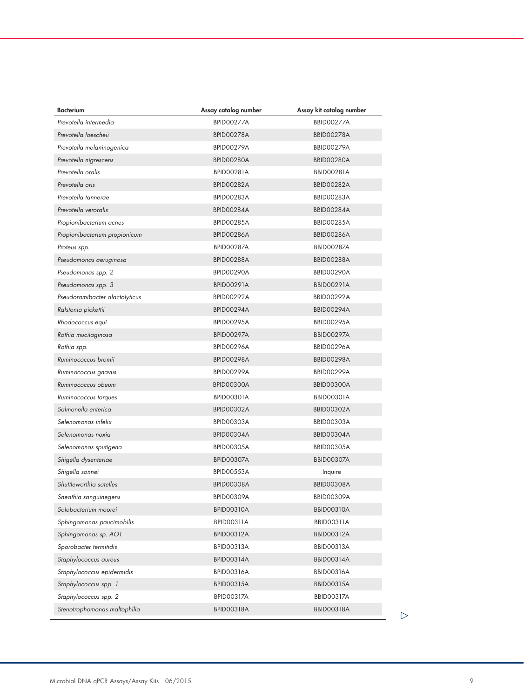| <b>Bacterium</b>               | Assay catalog number | Assay kit catalog number |
|--------------------------------|----------------------|--------------------------|
| Prevotella intermedia          | <b>BPID00277A</b>    | <b>BBID00277A</b>        |
| Prevotella loescheii           | BPID00278A           | <b>BBID00278A</b>        |
| Prevotella melaninogenica      | <b>BPID00279A</b>    | <b>BBID00279A</b>        |
| Prevotella nigrescens          | BPID00280A           | BBID00280A               |
| Prevotella oralis              | <b>BPID00281A</b>    | <b>BBID00281A</b>        |
| Prevotella oris                | <b>BPID00282A</b>    | <b>BBID00282A</b>        |
| Prevotella tannerae            | <b>BPID00283A</b>    | <b>BBID00283A</b>        |
| Prevotella veroralis           | BPID00284A           | <b>BBID00284A</b>        |
| Propionibacterium acnes        | <b>BPID00285A</b>    | <b>BBID00285A</b>        |
| Propionibacterium propionicum  | BPID00286A           | <b>BBID00286A</b>        |
| Proteus spp.                   | <b>BPID00287A</b>    | <b>BBID00287A</b>        |
| Pseudomonas aeruginosa         | BPID00288A           | BBID00288A               |
| Pseudomonas spp. 2             | BPID00290A           | <b>BBID00290A</b>        |
| Pseudomonas spp. 3             | <b>BPID00291A</b>    | <b>BBID00291A</b>        |
| Pseudoramibacter alactolyticus | <b>BPID00292A</b>    | <b>BBID00292A</b>        |
| Ralstonia pickettii            | BPID00294A           | BBID00294A               |
| Rhodococcus equi               | <b>BPID00295A</b>    | <b>BBID00295A</b>        |
| Rothia mucilaginosa            | <b>BPID00297A</b>    | <b>BBID00297A</b>        |
| Rothia spp.                    | <b>BPID00296A</b>    | <b>BBID00296A</b>        |
| Ruminococcus bromii            | <b>BPID00298A</b>    | BBID00298A               |
| Ruminococcus gnavus            | BPID00299A           | <b>BBID00299A</b>        |
| Ruminococcus obeum             | BPID00300A           | BBID00300A               |
| Ruminococcus torques           | <b>BPID00301A</b>    | BBID00301A               |
| Salmonella enterica            | <b>BPID00302A</b>    | <b>BBID00302A</b>        |
| Selenomonas infelix            | BPID00303A           | BBID00303A               |
| Selenomonas noxia              | BPID00304A           | <b>BBID00304A</b>        |
| Selenomonas sputigena          | <b>BPIDO0305A</b>    | <b>BBID00305A</b>        |
| Shigella dysenteriae           | <b>BPID00307A</b>    | <b>BBID00307A</b>        |
| Shigella sonnei                | <b>BPID00553A</b>    | Inquire                  |
| Shuttleworthia satelles        | BPID00308A           | <b>BBID00308A</b>        |
| Sneathia sanguinegens          | <b>BPID00309A</b>    | <b>BBID00309A</b>        |
| Solobacterium moorei           | <b>BPID00310A</b>    | <b>BBID00310A</b>        |
| Sphingomonas paucimobilis      | BPID00311A           | BBID00311A               |
| Sphingomonas sp. AO1           | <b>BPID00312A</b>    | <b>BBID00312A</b>        |
| Sporobacter termitidis         | <b>BPID00313A</b>    | <b>BBID00313A</b>        |
| Staphylococcus aureus          | <b>BPID00314A</b>    | <b>BBID00314A</b>        |
| Staphylococcus epidermidis     | <b>BPID00316A</b>    | <b>BBID00316A</b>        |
| Staphylococcus spp. 1          | <b>BPID00315A</b>    | <b>BBID00315A</b>        |
| Staphylococcus spp. 2          | BPID00317A           | <b>BBID00317A</b>        |
| Stenotrophomonas maltophilia   | <b>BPID00318A</b>    | <b>BBID00318A</b>        |
|                                |                      |                          |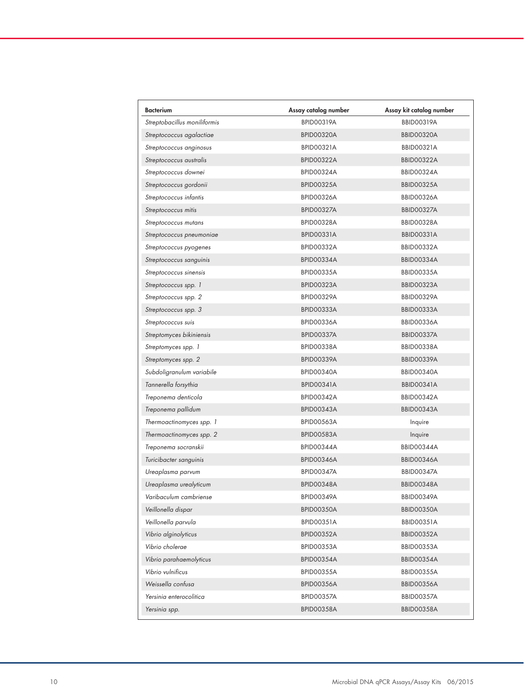| Bacterium                    | Assay catalog number | Assay kit catalog number |
|------------------------------|----------------------|--------------------------|
| Streptobacillus moniliformis | <b>BPID00319A</b>    | <b>BBID00319A</b>        |
| Streptococcus agalactiae     | <b>BPID00320A</b>    | <b>BBID00320A</b>        |
| Streptococcus anginosus      | <b>BPID00321A</b>    | <b>BBID00321A</b>        |
| Streptococcus australis      | <b>BPID00322A</b>    | <b>BBID00322A</b>        |
| Streptococcus downei         | BPID00324A           | BBID00324A               |
| Streptococcus gordonii       | <b>BPID00325A</b>    | <b>BBID00325A</b>        |
| Streptococcus infantis       | <b>BPID00326A</b>    | <b>BBID00326A</b>        |
| Streptococcus mitis          | BPID00327A           | <b>BBID00327A</b>        |
| Streptococcus mutans         | BPID00328A           | <b>BBID00328A</b>        |
| Streptococcus pneumoniae     | BPID00331A           | BBID00331A               |
| Streptococcus pyogenes       | <b>BPID00332A</b>    | <b>BBID00332A</b>        |
| Streptococcus sanguinis      | BPID00334A           | BBID00334A               |
| Streptococcus sinensis       | <b>BPIDO0335A</b>    | <b>BBID00335A</b>        |
| Streptococcus spp. 1         | BPID00323A           | <b>BBID00323A</b>        |
| Streptococcus spp. 2         | BPID00329A           | <b>BBID00329A</b>        |
| Streptococcus spp. 3         | BPID00333A           | BBID00333A               |
| Streptococcus suis           | BPID00336A           | BBID00336A               |
| Streptomyces bikiniensis     | BPID00337A           | <b>BBID00337A</b>        |
| Streptomyces spp. 1          | BPID00338A           | BBID00338A               |
| Streptomyces spp. 2          | BPID00339A           | <b>BBID00339A</b>        |
| Subdoligranulum variabile    | BPID00340A           | <b>BBID00340A</b>        |
| Tannerella forsythia         | BPID00341A           | <b>BBID00341A</b>        |
| Treponema denticola          | BPID00342A           | <b>BBID00342A</b>        |
| Treponema pallidum           | BPID00343A           | BBID00343A               |
| Thermoactinomyces spp. 1     | BPID00563A           | Inquire                  |
| Thermoactinomyces spp. 2     | <b>BPID00583A</b>    | Inquire                  |
| Treponema socranskii         | BPID00344A           | <b>BBID00344A</b>        |
| Turicibacter sanguinis       | <b>BPID00346A</b>    | <b>BBID00346A</b>        |
| Ureaplasma parvum            | BPID00347A           | <b>BBID00347A</b>        |
| Ureaplasma urealyticum       | BPID00348A           | BBID00348A               |
| Varibaculum cambriense       | <b>BPID00349A</b>    | <b>BBID00349A</b>        |
| Veillonella dispar           | BPID00350A           | BBID00350A               |
| Veillonella parvula          | BPID00351A           | <b>BBID00351A</b>        |
| Vibrio alginolyticus         | <b>BPID00352A</b>    | <b>BBID00352A</b>        |
| Vibrio cholerae              | BPID00353A           | BBID00353A               |
| Vibrio parahaemolyticus      | <b>BPID00354A</b>    | BBID00354A               |
| Vibrio vulnificus            | <b>BPID00355A</b>    | BBID00355A               |
| Weissella confusa            | BPID00356A           | BBID00356A               |
| Yersinia enterocolitica      | BPID00357A           | <b>BBID00357A</b>        |
| Yersinia spp.                | BPID00358A           | BBID00358A               |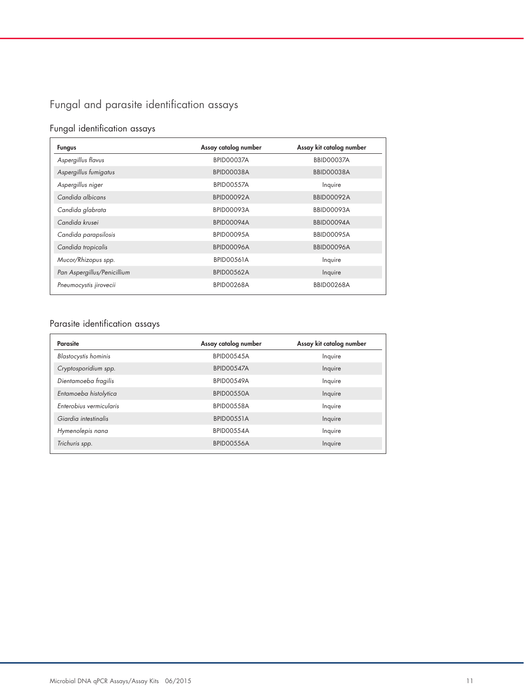## Fungal and parasite identification assays

## Fungal identification assays

| <b>Fungus</b>               | Assay catalog number | Assay kit catalog number |
|-----------------------------|----------------------|--------------------------|
| Aspergillus flavus          | BPID00037A           | <b>BBID00037A</b>        |
| Aspergillus fumigatus       | BPID00038A           | BBID00038A               |
| Aspergillus niger           | <b>BPID00557A</b>    | Inquire                  |
| Candida albicans            | <b>BPID00092A</b>    | <b>BBID00092A</b>        |
| Candida glabrata            | BPID00093A           | <b>BBID00093A</b>        |
| Candida krusei              | BPID00094A           | BBID00094A               |
| Candida parapsilosis        | <b>BPID00095A</b>    | <b>BBID00095A</b>        |
| Candida tropicalis          | BPID00096A           | <b>BBID00096A</b>        |
| Mucor/Rhizopus spp.         | <b>BPID00561A</b>    | Inquire                  |
| Pan Aspergillus/Penicillium | <b>BPID00562A</b>    | Inquire                  |
| Pneumocystis jirovecii      | <b>BPID00268A</b>    | BBID00268A               |

## Parasite identification assays

| Parasite                    | Assay catalog number | Assay kit catalog number |
|-----------------------------|----------------------|--------------------------|
| <b>Blastocystis</b> hominis | <b>BPID00545A</b>    | Inquire                  |
| Cryptosporidium spp.        | <b>BPID00547A</b>    | Inquire                  |
| Dientamoeba fragilis        | BPID00549A           | Inquire                  |
| Entamoeba histolytica       | BPID00550A           | Inquire                  |
| Enterobius vermicularis     | <b>BPID00558A</b>    | Inquire                  |
| Giardia intestinalis        | <b>BPID00551A</b>    | Inquire                  |
| Hymenolepis nana            | BPID00554A           | Inquire                  |
| Trichuris spp.              | <b>BPID00556A</b>    | Inquire                  |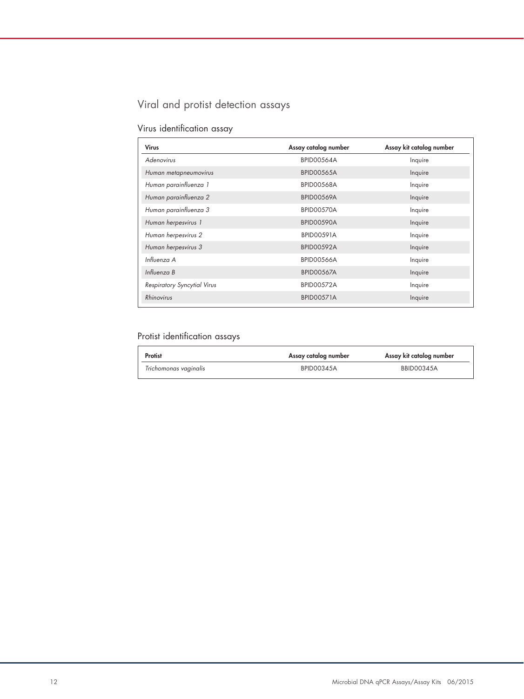## Viral and protist detection assays

|  | Virus identification assay |  |
|--|----------------------------|--|
|--|----------------------------|--|

| Assay catalog number | Assay kit catalog number |
|----------------------|--------------------------|
| BPID00564A           | Inquire                  |
| <b>BPID00565A</b>    | Inquire                  |
| <b>BPID00568A</b>    | Inquire                  |
| <b>BPID00569A</b>    | Inquire                  |
| BPID00570A           | Inquire                  |
| BPID00590A           | Inquire                  |
| <b>BPID00591A</b>    | Inquire                  |
| <b>BPID00592A</b>    | Inquire                  |
| BPID00566A           | Inquire                  |
| <b>BPID00567A</b>    | Inquire                  |
| <b>BPID00572A</b>    | Inquire                  |
| <b>BPID00571A</b>    | Inquire                  |
|                      |                          |

## Protist identification assays

| Protist               | Assay catalog number | Assay kit catalog number |
|-----------------------|----------------------|--------------------------|
| Trichomonas vaginalis | <b>BPID00345A</b>    | <b>BBID00345A</b>        |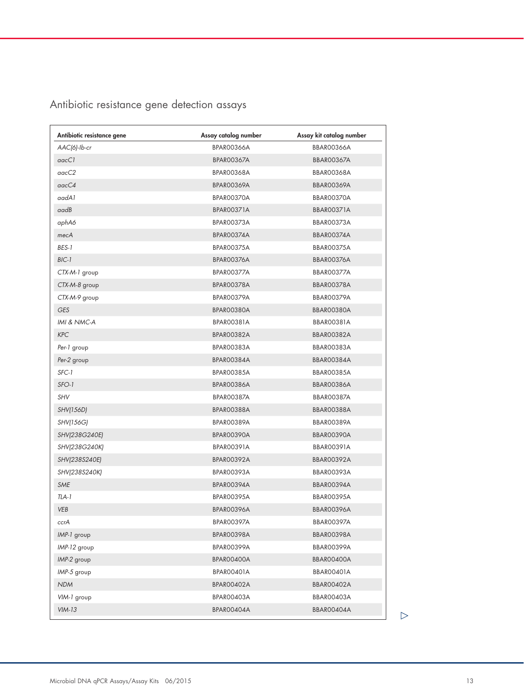# Antibiotic resistance gene detection assays

| Antibiotic resistance gene | Assay catalog number | Assay kit catalog number |
|----------------------------|----------------------|--------------------------|
| AAC(6)-Ib-cr               | BPAR00366A           | BBAR00366A               |
| aacC1                      | BPAR00367A           | BBAR00367A               |
| $\text{macC2}$             | BPAR00368A           | BBAR00368A               |
| qacC4                      | BPARO0369A           | BBAR00369A               |
| aadA1                      | BPARO0370A           | BBAR00370A               |
| aadB                       | BPARO0371A           | BBAR00371A               |
| aphA6                      | BPARO0373A           | BBAR00373A               |
| mecA                       | BPARO0374A           | BBAR00374A               |
| BES-1                      | BPARO0375A           | BBAR00375A               |
| BIC-1                      | BPARO0376A           | BBAR00376A               |
| CTX-M-1 group              | BPARO0377A           | BBAR00377A               |
| CTX-M-8 group              | BPARO0378A           | BBAR00378A               |
| CTX-M-9 group              | BPARO0379A           | BBAR00379A               |
| <b>GES</b>                 | BPARO0380A           | BBAR00380A               |
| IMI & NMC-A                | BPARO0381A           | BBAR00381A               |
| <b>KPC</b>                 | BPARO0382A           | BBAR00382A               |
| Per-1 group                | BPARO0383A           | BBAR00383A               |
| Per-2 group                | BPARO0384A           | BBAR00384A               |
| SFC-1                      | BPARO0385A           | BBAR00385A               |
| SFO-1                      | BPARO0386A           | BBAR00386A               |
| SHV                        | BPARO0387A           | BBAR00387A               |
| SHV(156D)                  | BPARO0388A           | BBAR00388A               |
| SHV(156G)                  | BPARO0389A           | BBAR00389A               |
| SHV(238G240E)              | BPAR00390A           | BBAR00390A               |
| SHV(238G240K)              | BPAR00391A           | BBAR00391A               |
| SHV(238S240E)              | BPARO0392A           | BBAR00392A               |
| SHV(238S240K)              | BPARO0393A           | BBAR00393A               |
| <b>SME</b>                 | BPARO0394A           | BBAR00394A               |
| TLA-1                      | BPARO0395A           | BBAR00395A               |
| <b>VEB</b>                 | BPAR00396A           | BBAR00396A               |
| ccrA                       | BPARO0397A           | BBAR00397A               |
| IMP-1 group                | BPARO0398A           | BBAR00398A               |
| $IMP-12$ group             | BPARO0399A           | BBAR00399A               |
| IMP-2 group                | BPAR00400A           | BBAR00400A               |
| IMP-5 group                | BPAR00401A           | BBAR00401A               |
| <b>NDM</b>                 | BPAR00402A           | BBAR00402A               |
| VIM-1 group                | BPAROO403A           | BBAR00403A               |
| $VIM-13$                   | BPAR00404A           | BBAR00404A               |
|                            |                      |                          |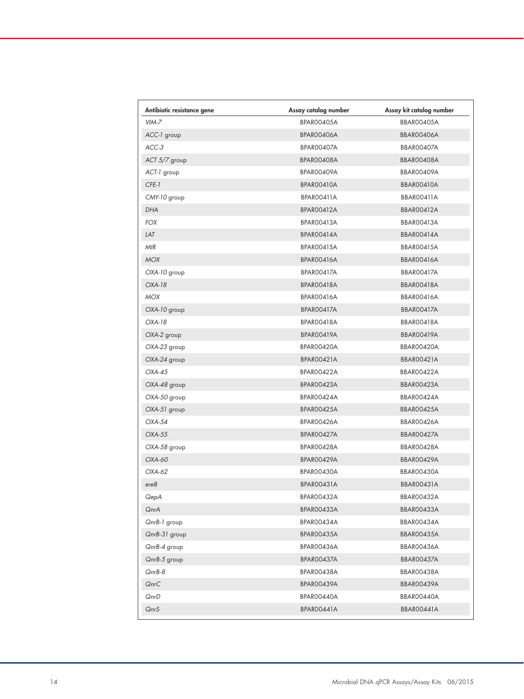| Antibiotic resistance gene | Assay catalog number | Assay kit catalog number |
|----------------------------|----------------------|--------------------------|
| $VIM-7$                    | BPARO0405A           | BBAR00405A               |
| ACC-1 group                | BPAR00406A           | BBAR00406A               |
| ACC-3                      | BPAR00407A           | <b>BBAR00407A</b>        |
| $ACT 5/7$ group            | BPAROO408A           | BBAR00408A               |
| ACT-1 group                | BPAR00409A           | BBAR00409A               |
| CFE-1                      | BPARO0410A           | BBAR00410A               |
| CMY-10 group               | BPAR00411A           | BBAR00411A               |
| <b>DHA</b>                 | BPAROO412A           | BBAR00412A               |
| <b>FOX</b>                 | BPARO0413A           | BBAR00413A               |
| LAT                        | BPAROO414A           | BBAR00414A               |
| <b>MIR</b>                 | BPARO0415A           | BBAR00415A               |
| <b>MOX</b>                 | BPAR00416A           | <b>BBAR00416A</b>        |
| OXA-10 group               | BPAROO417A           | <b>BBAR00417A</b>        |
| $OXA-18$                   | BPARO0418A           | BBAR00418A               |
| <b>MOX</b>                 | BPAR00416A           | BBAR00416A               |
| OXA-10 group               | BPAROO417A           | BBAR00417A               |
| $OXA-18$                   | BPAROO418A           | BBAR00418A               |
| OXA-2 group                | BPARO0419A           | BBAR00419A               |
| OXA-23 group               | BPAR00420A           | BBAR00420A               |
| OXA-24 group               | BPARO0421A           | BBAR00421A               |
| $OXA-45$                   | BPARO0422A           | BBAR00422A               |
| OXA-48 group               | BPARO0423A           | BBAR00423A               |
| OXA-50 group               | BPARO0424A           | BBAR00424A               |
| OXA-51 group               | BPAROO425A           | BBAR00425A               |
| $OXA-54$                   | BPAR00426A           | BBAR00426A               |
| <b>OXA-55</b>              | BPAROO427A           | BBAR00427A               |
| OXA-58 group               | BPARO0428A           | BBAR00428A               |
| OXA-60                     | BPAROO429A           | BBAR00429A               |
| OXA-62                     | BPARO0430A           | BBAR00430A               |
| ereB                       | BPAR00431A           | BBAR00431A               |
| QepA                       | BPARO0432A           | BBAR00432A               |
| QnrA                       | BPAROO433A           | BBAR00433A               |
| QnrB-1 group               | BPARO0434A           | BBAR00434A               |
| QnrB-31 group              | BPAROO435A           | BBAR00435A               |
| $QnrB-4$ group             | BPAR00436A           | BBAR00436A               |
| QnrB-5 group               | BPAROO437A           | BBAR00437A               |
| QnrB-8                     | BPAROO438A           | BBAR00438A               |
| QnrC                       | BPAROO439A           | BBAR00439A               |
| QnrD                       | BPARO0440A           | BBAR00440A               |
| QnrS                       | BPAROO441A           | BBAR00441A               |
|                            |                      |                          |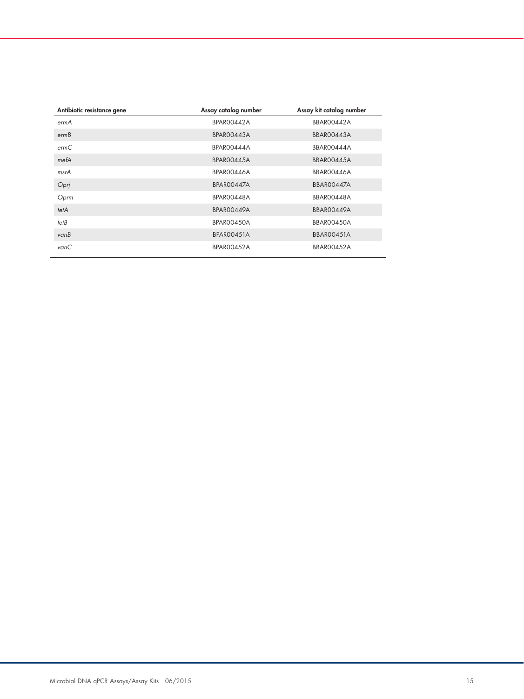| Antibiotic resistance gene | Assay catalog number | Assay kit catalog number |
|----------------------------|----------------------|--------------------------|
| ermA                       | <b>BPAR00442A</b>    | BBAR00442A               |
| ermB                       | BPARO0443A           | BBAR00443A               |
| ermC                       | BPAR00444A           | BBAR00444A               |
| mefA                       | BPARO0445A           | BBAR00445A               |
| msrA                       | BPAR00446A           | BBAR00446A               |
| Opri                       | BPARO0447A           | BBAR00447A               |
| Oprm                       | BPARO0448A           | BBAR00448A               |
| tetA                       | BPAR00449A           | BBAR00449A               |
| tetB                       | <b>BPAR00450A</b>    | BBAR00450A               |
| vanB                       | BPAR00451A           | BBAR00451A               |
| vanC                       | <b>BPAR00452A</b>    | BBAR00452A               |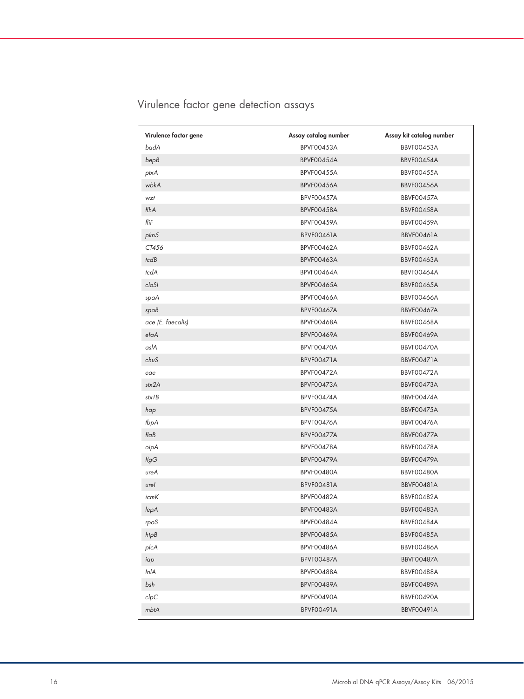| Virulence factor gene | Assay catalog number | Assay kit catalog number |
|-----------------------|----------------------|--------------------------|
| badA                  | <b>BPVF00453A</b>    | BBVF00453A               |
| bepB                  | BPVF00454A           | BBVF00454A               |
| ptxA                  | BPVF00455A           | <b>BBVF00455A</b>        |
| wbkA                  | <b>BPVF00456A</b>    | <b>BBVF00456A</b>        |
| wzt                   | BPVF00457A           | BBVF00457A               |
| flhA                  | BPVF00458A           | BBVF00458A               |
| fliF                  | <b>BPVF00459A</b>    | <b>BBVF00459A</b>        |
| pkn5                  | BPVF00461A           | BBVF00461A               |
| CT456                 | <b>BPVF00462A</b>    | <b>BBVF00462A</b>        |
| tcdB                  | <b>BPVF00463A</b>    | <b>BBVF00463A</b>        |
| tcdA                  | BPVF00464A           | <b>BBVF00464A</b>        |
| cloSI                 | <b>BPVF00465A</b>    | <b>BBVF00465A</b>        |
| spaA                  | <b>BPVF00466A</b>    | <b>BBVF00466A</b>        |
| spaB                  | <b>BPVF00467A</b>    | BBVF00467A               |
| ace (E. faecalis)     | <b>BPVF00468A</b>    | <b>BBVF00468A</b>        |
| efaA                  | <b>BPVF00469A</b>    | BBVF00469A               |
| aslA                  | BPVF00470A           | BBVF00470A               |
| chuS                  | BPVF00471A           | BBVF00471A               |
| eae                   | BPVF00472A           | BBVF00472A               |
| stx2A                 | BPVF00473A           | BBVF00473A               |
| stx1B                 | BPVF00474A           | BBVF00474A               |
| hap                   | BPVF00475A           | BBVF00475A               |
| tbpA                  | BPVF00476A           | BBVF00476A               |
| $f \mid aB$           | BPVF00477A           | BBVF00477A               |
| oipA                  | BPVF00478A           | BBVF00478A               |
| $f\!lg G$             | BPVF00479A           | BBVF00479A               |
| ureA                  | BPVF00480A           | BBVF00480A               |
| urel                  | BPVF00481A           | BBVF00481A               |
| icmK                  | BPVF00482A           | BBVF00482A               |
| lepA                  | BPVF00483A           | BBVF00483A               |
| rpoS                  | BPVF00484A           | BBVF00484A               |
| htpB                  | BPVF00485A           | BBVF00485A               |
| plcA                  | BPVF00486A           | BBVF00486A               |
| iap                   | BPVF00487A           | BBVF00487A               |
| InlA                  | BPVF00488A           | BBVF00488A               |
| bsh                   | BPVF00489A           | BBVF00489A               |
| clpC                  | BPVF00490A           | BBVF00490A               |
| mbtA                  | <b>BPVF00491A</b>    | <b>BBVF00491A</b>        |

# Virulence factor gene detection assays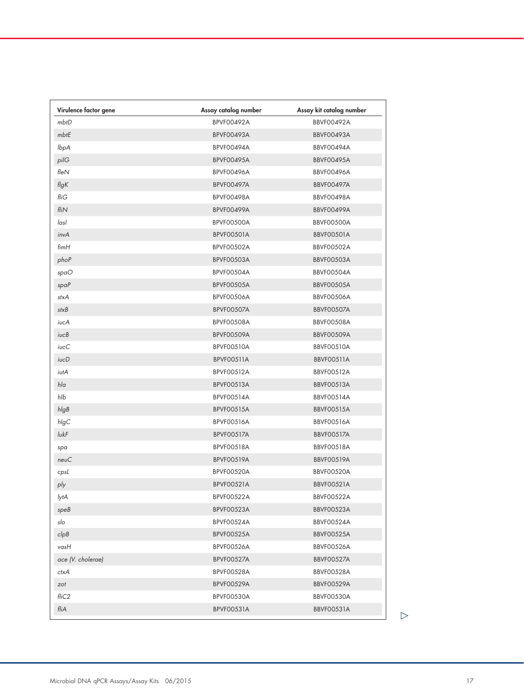| Virulence factor gene | Assay catalog number | Assay kit catalog number |
|-----------------------|----------------------|--------------------------|
| mbtD                  | BPVF00492A           | <b>BBVF00492A</b>        |
| mbtE                  | <b>BPVF00493A</b>    | <b>BBVF00493A</b>        |
| lbpA                  | BPVF00494A           | BBVF00494A               |
| pilG                  | BPVF00495A           | BBVF00495A               |
| $f$ le $\overline{N}$ | BPVF00496A           | <b>BBVF00496A</b>        |
| flgK                  | <b>BPVF00497A</b>    | BBVF00497A               |
| fliG                  | BPVF00498A           | BBVF00498A               |
| fliN                  | BPVF00499A           | BBVF00499A               |
| lasl                  | BPVF00500A           | BBVF00500A               |
| invA                  | BPVF00501A           | BBVF00501A               |
| $f$ im $H$            | <b>BPVF00502A</b>    | <b>BBVF00502A</b>        |
| phoP                  | BPVF00503A           | BBVF00503A               |
| spaO                  | BPVF00504A           | BBVF00504A               |
| spaP                  | <b>BPVF00505A</b>    | <b>BBVF00505A</b>        |
| stxA                  | <b>BPVF00506A</b>    | BBVF00506A               |
| stxB                  | BPVF00507A           | BBVF00507A               |
| iucA                  | BPVF00508A           | BBVF00508A               |
| $i$ uc $B$            | <b>BPVF00509A</b>    | <b>BBVF00509A</b>        |
| iucC                  | BPVF00510A           | BBVF00510A               |
| iucD                  | BPVF00511A           | BBVF00511A               |
| iutA                  | BPVF00512A           | BBVF00512A               |
| hla                   | <b>BPVF00513A</b>    | <b>BBVF00513A</b>        |
| hlb                   | <b>BPVF00514A</b>    | BBVF00514A               |
| hlgB                  | <b>BPVF00515A</b>    | <b>BBVF00515A</b>        |
| hlgC                  | BPVF00516A           | <b>BBVF00516A</b>        |
| lukF                  | BPVF00517A           | <b>BBVF00517A</b>        |
| spa                   | BPVF00518A           | BBVF00518A               |
| neuC                  | <b>BPVF00519A</b>    | <b>BBVF00519A</b>        |
| cpsL                  | BPVF00520A           | BBVF00520A               |
| ply                   | BPVF00521A           | <b>BBVF00521A</b>        |
| lytA                  | BPVF00522A           | BBVF00522A               |
| speB                  | BPVF00523A           | BBVF00523A               |
| slo                   | BPVF00524A           | BBVF00524A               |
| clpB                  | BPVF00525A           | BBVF00525A               |
| vasH                  | BPVF00526A           | BBVF00526A               |
| ace (V. cholerae)     | BPVF00527A           | BBVF00527A               |
| ctxA                  | BPVF00528A           | BBVF00528A               |
| zot                   | BPVF00529A           | BBVF00529A               |
| fliC <sub>2</sub>     | BPVF00530A           | BBVF00530A               |
| fliA                  | BPVF00531A           | BBVF00531A               |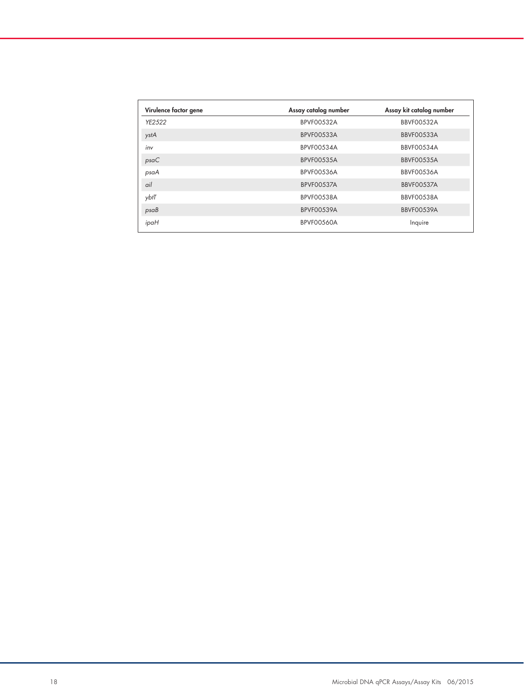| Virulence factor gene | Assay catalog number | Assay kit catalog number |
|-----------------------|----------------------|--------------------------|
| YE2522                | <b>BPVF00532A</b>    | BBVF00532A               |
| ystA                  | BPVF00533A           | BBVF00533A               |
| inv                   | <b>BPVF00534A</b>    | BBVF00534A               |
| psaC                  | <b>BPVF00535A</b>    | BBVF00535A               |
| psaA                  | BPVF00536A           | BBVF00536A               |
| ail                   | <b>BPVF00537A</b>    | BBVF00537A               |
| ybtT                  | BPVF00538A           | BBVF00538A               |
| psaB                  | <b>BPVF00539A</b>    | BBVF00539A               |
| ipaH                  | BPVF00560A           | Inquire                  |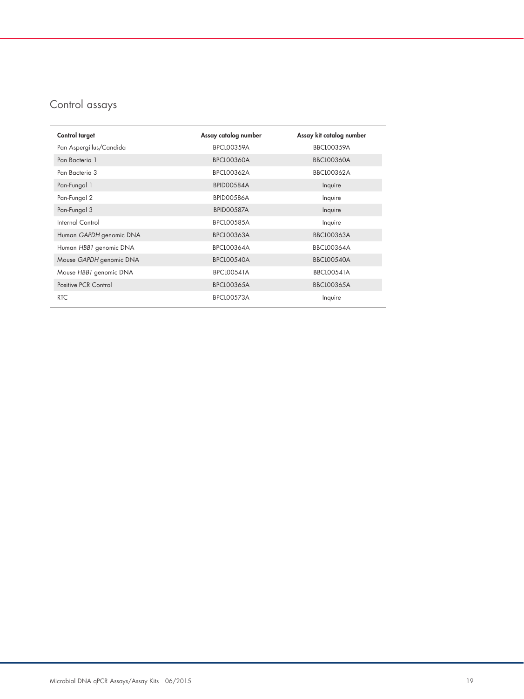## Control assays

| Control target          | Assay catalog number | Assay kit catalog number |
|-------------------------|----------------------|--------------------------|
| Pan Aspergillus/Candida | <b>BPCL00359A</b>    | <b>BBCL00359A</b>        |
| Pan Bacteria 1          | <b>BPCL00360A</b>    | <b>BBCL00360A</b>        |
| Pan Bacteria 3          | <b>BPCL00362A</b>    | <b>BBCL00362A</b>        |
| Pan-Fungal 1            | BPID00584A           | Inquire                  |
| Pan-Fungal 2            | <b>BPID00586A</b>    | Inquire                  |
| Pan-Fungal 3            | BPID00587A           | Inquire                  |
| Internal Control        | <b>BPCL00585A</b>    | Inquire                  |
| Human GAPDH genomic DNA | <b>BPCL00363A</b>    | <b>BBCL00363A</b>        |
| Human HBB1 genomic DNA  | <b>BPCL00364A</b>    | <b>BBCL00364A</b>        |
| Mouse GAPDH genomic DNA | <b>BPCL00540A</b>    | <b>BBCL00540A</b>        |
| Mouse HBB1 genomic DNA  | BPCL00541A           | <b>BBCL00541A</b>        |
| Positive PCR Control    | <b>BPCL00365A</b>    | <b>BBCL00365A</b>        |
| <b>RTC</b>              | BPCL00573A           | Inquire                  |